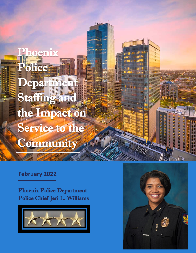Phoenix Police Department Staffing and the Impact on Service to the **Community** 

#### **February 2022**

Phoenix Police Department Police Chief Jeri L. Williams



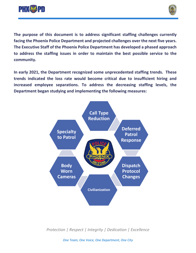



**The purpose of this document is to address significant staffing challenges currently facing the Phoenix Police Department and projected challenges over the next five years. The Executive Staff of the Phoenix Police Department has developed a phased approach to address the staffing issues in order to maintain the best possible service to the community.**

**In early 2021, the Department recognized some unprecedented staffing trends. These trends indicated the loss rate would become critical due to insufficient hiring and increased employee separations. To address the decreasing staffing levels, the Department began studying and implementing the following measures:**



*Protection | Respect | Integrity | Dedication | Excellence*

*One Team, One Voice, One Department, One City*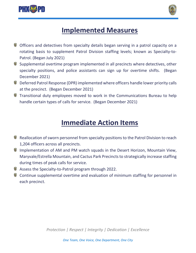



# **Implemented Measures**

- Officers and detectives from specialty details began serving in a patrol capacity on a rotating basis to supplement Patrol Division staffing levels; known as Specialty-to-Patrol. (Began July 2021)
- Supplemental overtime program implemented in all precincts where detectives, other specialty positions, and police assistants can sign up for overtime shifts. (Began December 2021)
- Deferred Patrol Response (DPR) implemented where officers handle lower priority calls at the precinct. (Began December 2021)
- Transitional duty employees moved to work in the Communications Bureau to help handle certain types of calls for service. (Began December 2021)

### **Immediate Action Items**

- **Reallocation of sworn personnel from specialty positions to the Patrol Division to reach** 1,204 officers across all precincts.
- Implementation of AM and PM watch squads in the Desert Horizon, Mountain View, Maryvale/Estrella Mountain, and Cactus Park Precincts to strategically increase staffing during times of peak calls for service.
- Assess the Specialty-to-Patrol program through 2022.
- Continue supplemental overtime and evaluation of minimum staffing for personnel in each precinct.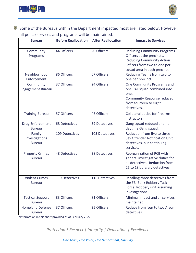



Some of the Bureaus within the Department impacted most are listed below. However, all police services and programs will be maintained:

| <b>Bureau</b>                             | <b>Before Reallocation</b> | <b>After Reallocation</b> | <b>Impact to Services</b>                                                                                                                                            |
|-------------------------------------------|----------------------------|---------------------------|----------------------------------------------------------------------------------------------------------------------------------------------------------------------|
| Community<br>Programs                     | 44 Officers                | 20 Officers               | <b>Reducing Community Programs</b><br>Officers at the precincts.<br><b>Reducing Community Action</b><br>Officers from two to one per<br>squad area in each precinct. |
| Neighborhood<br>Enforcement               | 86 Officers                | 67 Officers               | Reducing Teams from two to<br>one per precinct.                                                                                                                      |
| Community<br><b>Engagement Bureau</b>     | 37 Officers                | 24 Officers               | One Community Programs and<br>one PAL squad combined into<br>one.<br><b>Community Response reduced</b><br>from fourteen to eight<br>detectives.                      |
| <b>Training Bureau</b>                    | 57 Officers                | 46 Officers               | <b>Collateral duties for firearms</b><br>instructors.                                                                                                                |
| <b>Drug Enforcement</b><br><b>Bureau</b>  | <b>68 Detectives</b>       | 59 Detectives             | Gang squad reduced and no<br>daytime Gang squad.                                                                                                                     |
| Family<br>Investigations<br><b>Bureau</b> | 109 Detectives             | 105 Detectives            | Reduction from five to three<br>Sex Offender Notification Unit<br>detectives, but continuing<br>services.                                                            |
| <b>Property Crimes</b><br><b>Bureau</b>   | <b>48 Detectives</b>       | <b>38 Detectives</b>      | Reorganization of PCB with<br>general investigative duties for<br>all detectives. Reduction from<br>25 to 18 burglary detectives.                                    |
| <b>Violent Crimes</b><br><b>Bureau</b>    | 119 Detectives             | 116 Detectives            | Recalling three detectives from<br>the FBI Bank Robbery Task<br>Force. Robbery unit assuming<br>investigations.                                                      |
| <b>Tactical Support</b><br><b>Bureau</b>  | 83 Officers                | 81 Officers               | Minimal impact and all services<br>maintained.                                                                                                                       |
| <b>Homeland Defense</b><br><b>Bureau</b>  | 37 Officers                | 35 Officers               | Reduce from four to two Arson<br>detectives.                                                                                                                         |

\*Information in this chart provided as of February 2022.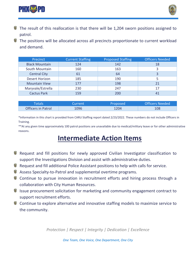



- The result of this reallocation is that there will be 1,204 sworn positions assigned to patrol.
- The positions will be allocated across all precincts proportionate to current workload and demand.

| Precinct              | <b>Current Staffing</b> | <b>Proposed Staffing</b> | <b>Officers Needed</b> |
|-----------------------|-------------------------|--------------------------|------------------------|
| <b>Black Mountain</b> | 124                     | 142                      | 18                     |
| South Mountain        | 160                     | 163                      | 3                      |
| <b>Central City</b>   | 61                      | 64                       | 3                      |
| <b>Desert Horizon</b> | 185                     | 190                      |                        |
| <b>Mountain View</b>  | 177                     | 198                      | 21                     |
| Maryvale/Estrella     | 230                     | 247                      | 17                     |
| <b>Cactus Park</b>    | 159                     | 200                      |                        |

| <b>Totals</b>             | Current / | Proposed | Officers Needed |
|---------------------------|-----------|----------|-----------------|
| <b>Officers in Patrol</b> | 1096      | 1204     | 108             |

\*Information in this chart is provided from CARU Staffing report dated 2/23/2022. These numbers do not include Officers in Training.

\*\*At any given time approximately 100 patrol positions are unavailable due to medical/military leave or for other administrative reasons.

# **Intermediate Action Items**

- $\mathbf{G}$ Request and fill positions for newly approved Civilian Investigator classification to support the Investigations Division and assist with administrative duties.
- Request and fill additional Police Assistant positions to help with calls for service.
- Assess Specialty-to-Patrol and supplemental overtime programs.
- Continue to pursue innovation in recruitment efforts and hiring process through a collaboration with City Human Resources.
- Issue procurement solicitation for marketing and community engagement contract to support recruitment efforts.
- Continue to explore alternative and innovative staffing models to maximize service to the community.